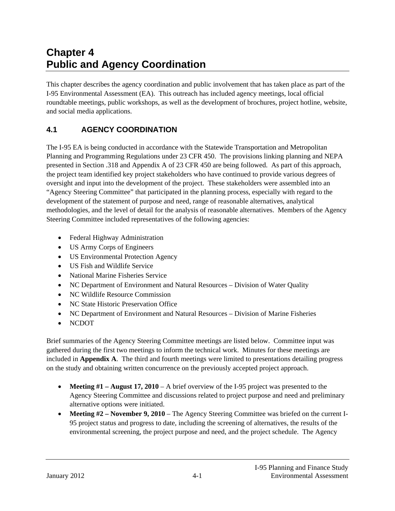# **Chapter 4 Public and Agency Coordination**

This chapter describes the agency coordination and public involvement that has taken place as part of the I-95 Environmental Assessment (EA). This outreach has included agency meetings, local official roundtable meetings, public workshops, as well as the development of brochures, project hotline, website, and social media applications.

## **4.1 AGENCY COORDINATION**

The I-95 EA is being conducted in accordance with the Statewide Transportation and Metropolitan Planning and Programming Regulations under 23 CFR 450. The provisions linking planning and NEPA presented in Section .318 and Appendix A of 23 CFR 450 are being followed. As part of this approach, the project team identified key project stakeholders who have continued to provide various degrees of oversight and input into the development of the project. These stakeholders were assembled into an "Agency Steering Committee" that participated in the planning process, especially with regard to the development of the statement of purpose and need, range of reasonable alternatives, analytical methodologies, and the level of detail for the analysis of reasonable alternatives. Members of the Agency Steering Committee included representatives of the following agencies:

- Federal Highway Administration
- US Army Corps of Engineers
- US Environmental Protection Agency
- US Fish and Wildlife Service
- National Marine Fisheries Service
- NC Department of Environment and Natural Resources Division of Water Quality
- NC Wildlife Resource Commission
- NC State Historic Preservation Office
- NC Department of Environment and Natural Resources Division of Marine Fisheries
- NCDOT

Brief summaries of the Agency Steering Committee meetings are listed below. Committee input was gathered during the first two meetings to inform the technical work. Minutes for these meetings are included in **Appendix A**. The third and fourth meetings were limited to presentations detailing progress on the study and obtaining written concurrence on the previously accepted project approach.

- **Meeting #1 August 17, 2010** A brief overview of the I-95 project was presented to the Agency Steering Committee and discussions related to project purpose and need and preliminary alternative options were initiated.
- Meeting #2 November 9, 2010 The Agency Steering Committee was briefed on the current I-95 project status and progress to date, including the screening of alternatives, the results of the environmental screening, the project purpose and need, and the project schedule. The Agency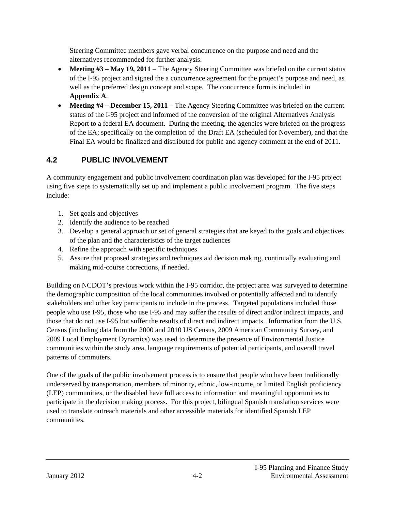Steering Committee members gave verbal concurrence on the purpose and need and the alternatives recommended for further analysis.

- **Meeting**  $#3$  **May 19, 2011** The Agency Steering Committee was briefed on the current status of the I-95 project and signed the a concurrence agreement for the project's purpose and need, as well as the preferred design concept and scope. The concurrence form is included in **Appendix A**.
- Meeting #4 December 15, 2011 The Agency Steering Committee was briefed on the current status of the I-95 project and informed of the conversion of the original Alternatives Analysis Report to a federal EA document. During the meeting, the agencies were briefed on the progress of the EA; specifically on the completion of the Draft EA (scheduled for November), and that the Final EA would be finalized and distributed for public and agency comment at the end of 2011.

# **4.2 PUBLIC INVOLVEMENT**

A community engagement and public involvement coordination plan was developed for the I-95 project using five steps to systematically set up and implement a public involvement program. The five steps include:

- 1. Set goals and objectives
- 2. Identify the audience to be reached
- 3. Develop a general approach or set of general strategies that are keyed to the goals and objectives of the plan and the characteristics of the target audiences
- 4. Refine the approach with specific techniques
- 5. Assure that proposed strategies and techniques aid decision making, continually evaluating and making mid-course corrections, if needed.

Building on NCDOT's previous work within the I-95 corridor, the project area was surveyed to determine the demographic composition of the local communities involved or potentially affected and to identify stakeholders and other key participants to include in the process. Targeted populations included those people who use I-95, those who use I-95 and may suffer the results of direct and/or indirect impacts, and those that do not use I-95 but suffer the results of direct and indirect impacts. Information from the U.S. Census (including data from the 2000 and 2010 US Census, 2009 American Community Survey, and 2009 Local Employment Dynamics) was used to determine the presence of Environmental Justice communities within the study area, language requirements of potential participants, and overall travel patterns of commuters.

One of the goals of the public involvement process is to ensure that people who have been traditionally underserved by transportation, members of minority, ethnic, low-income, or limited English proficiency (LEP) communities, or the disabled have full access to information and meaningful opportunities to participate in the decision making process. For this project, bilingual Spanish translation services were used to translate outreach materials and other accessible materials for identified Spanish LEP communities.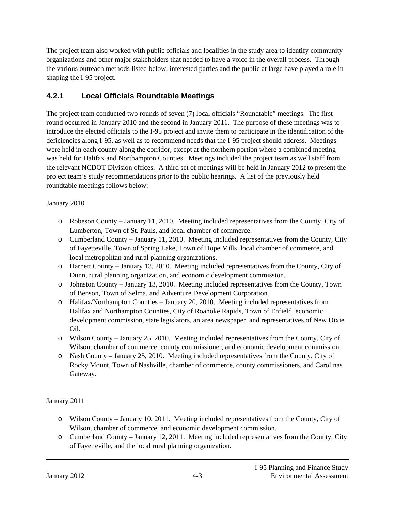The project team also worked with public officials and localities in the study area to identify community organizations and other major stakeholders that needed to have a voice in the overall process. Through the various outreach methods listed below, interested parties and the public at large have played a role in shaping the I-95 project.

## **4.2.1 Local Officials Roundtable Meetings**

The project team conducted two rounds of seven (7) local officials "Roundtable" meetings. The first round occurred in January 2010 and the second in January 2011. The purpose of these meetings was to introduce the elected officials to the I-95 project and invite them to participate in the identification of the deficiencies along I-95, as well as to recommend needs that the I-95 project should address. Meetings were held in each county along the corridor, except at the northern portion where a combined meeting was held for Halifax and Northampton Counties. Meetings included the project team as well staff from the relevant NCDOT Division offices. A third set of meetings will be held in January 2012 to present the project team's study recommendations prior to the public hearings. A list of the previously held roundtable meetings follows below:

#### January 2010

- o Robeson County January 11, 2010. Meeting included representatives from the County, City of Lumberton, Town of St. Pauls, and local chamber of commerce.
- o Cumberland County January 11, 2010. Meeting included representatives from the County, City of Fayetteville, Town of Spring Lake, Town of Hope Mills, local chamber of commerce, and local metropolitan and rural planning organizations.
- o Harnett County January 13, 2010. Meeting included representatives from the County, City of Dunn, rural planning organization, and economic development commission.
- o Johnston County January 13, 2010. Meeting included representatives from the County, Town of Benson, Town of Selma, and Adventure Development Corporation.
- o Halifax/Northampton Counties January 20, 2010. Meeting included representatives from Halifax and Northampton Counties, City of Roanoke Rapids, Town of Enfield, economic development commission, state legislators, an area newspaper, and representatives of New Dixie Oil.
- o Wilson County January 25, 2010. Meeting included representatives from the County, City of Wilson, chamber of commerce, county commissioner, and economic development commission.
- o Nash County January 25, 2010. Meeting included representatives from the County, City of Rocky Mount, Town of Nashville, chamber of commerce, county commissioners, and Carolinas Gateway.

#### January 2011

- o Wilson County January 10, 2011. Meeting included representatives from the County, City of Wilson, chamber of commerce, and economic development commission.
- o Cumberland County January 12, 2011. Meeting included representatives from the County, City of Fayetteville, and the local rural planning organization.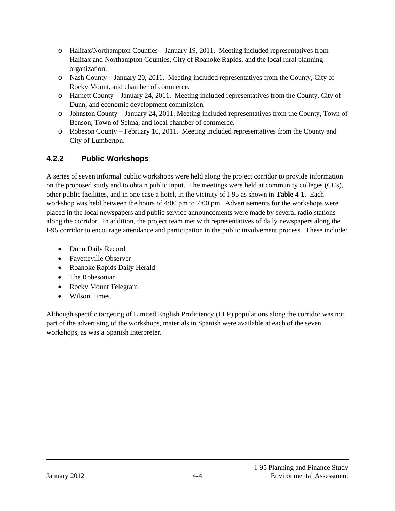- o Halifax/Northampton Counties January 19, 2011. Meeting included representatives from Halifax and Northampton Counties, City of Roanoke Rapids, and the local rural planning organization.
- o Nash County January 20, 2011. Meeting included representatives from the County, City of Rocky Mount, and chamber of commerce.
- o Harnett County January 24, 2011. Meeting included representatives from the County, City of Dunn, and economic development commission.
- o Johnston County January 24, 2011, Meeting included representatives from the County, Town of Benson, Town of Selma, and local chamber of commerce.
- o Robeson County February 10, 2011. Meeting included representatives from the County and City of Lumberton.

## **4.2.2 Public Workshops**

A series of seven informal public workshops were held along the project corridor to provide information on the proposed study and to obtain public input. The meetings were held at community colleges (CCs), other public facilities, and in one case a hotel, in the vicinity of I-95 as shown in **Table 4-1**. Each workshop was held between the hours of 4:00 pm to 7:00 pm. Advertisements for the workshops were placed in the local newspapers and public service announcements were made by several radio stations along the corridor. In addition, the project team met with representatives of daily newspapers along the I-95 corridor to encourage attendance and participation in the public involvement process. These include:

- Dunn Daily Record
- Fayetteville Observer
- Roanoke Rapids Daily Herald
- The Robesonian
- Rocky Mount Telegram
- Wilson Times.

Although specific targeting of Limited English Proficiency (LEP) populations along the corridor was not part of the advertising of the workshops, materials in Spanish were available at each of the seven workshops, as was a Spanish interpreter.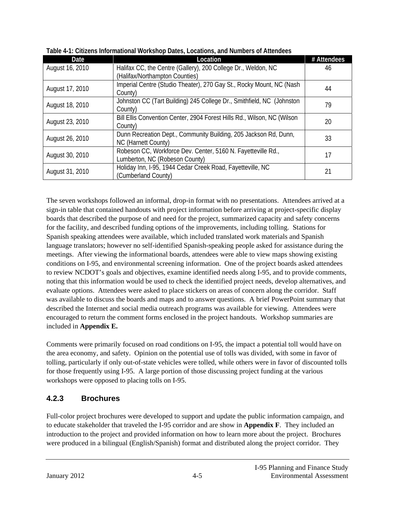| Date            | <b>Location</b>                                                         | # Attendees |
|-----------------|-------------------------------------------------------------------------|-------------|
| August 16, 2010 | Halifax CC, the Centre (Gallery), 200 College Dr., Weldon, NC           | 46          |
|                 | (Halifax/Northampton Counties)                                          |             |
| August 17, 2010 | Imperial Centre (Studio Theater), 270 Gay St., Rocky Mount, NC (Nash    | 44          |
|                 | County)                                                                 |             |
| August 18, 2010 | Johnston CC (Tart Building) 245 College Dr., Smithfield, NC (Johnston   | 79          |
|                 | County)                                                                 |             |
| August 23, 2010 | Bill Ellis Convention Center, 2904 Forest Hills Rd., Wilson, NC (Wilson | 20          |
|                 | County)                                                                 |             |
| August 26, 2010 | Dunn Recreation Dept., Community Building, 205 Jackson Rd, Dunn,        | 33          |
|                 | NC (Harnett County)                                                     |             |
| August 30, 2010 | Robeson CC, Workforce Dev. Center, 5160 N. Fayetteville Rd.,            | 17          |
|                 | Lumberton, NC (Robeson County)                                          |             |
| August 31, 2010 | Holiday Inn, I-95, 1944 Cedar Creek Road, Fayetteville, NC              | 21          |
|                 | (Cumberland County)                                                     |             |

**Table 4-1: Citizens Informational Workshop Dates, Locations, and Numbers of Attendees** 

The seven workshops followed an informal, drop-in format with no presentations. Attendees arrived at a sign-in table that contained handouts with project information before arriving at project-specific display boards that described the purpose of and need for the project, summarized capacity and safety concerns for the facility, and described funding options of the improvements, including tolling. Stations for Spanish speaking attendees were available, which included translated work materials and Spanish language translators; however no self-identified Spanish-speaking people asked for assistance during the meetings. After viewing the informational boards, attendees were able to view maps showing existing conditions on I-95, and environmental screening information. One of the project boards asked attendees to review NCDOT's goals and objectives, examine identified needs along I-95, and to provide comments, noting that this information would be used to check the identified project needs, develop alternatives, and evaluate options. Attendees were asked to place stickers on areas of concern along the corridor. Staff was available to discuss the boards and maps and to answer questions. A brief PowerPoint summary that described the Internet and social media outreach programs was available for viewing. Attendees were encouraged to return the comment forms enclosed in the project handouts. Workshop summaries are included in **Appendix E.**

Comments were primarily focused on road conditions on I-95, the impact a potential toll would have on the area economy, and safety. Opinion on the potential use of tolls was divided, with some in favor of tolling, particularly if only out-of-state vehicles were tolled, while others were in favor of discounted tolls for those frequently using I-95. A large portion of those discussing project funding at the various workshops were opposed to placing tolls on I-95.

## **4.2.3 Brochures**

Full-color project brochures were developed to support and update the public information campaign, and to educate stakeholder that traveled the I-95 corridor and are show in **Appendix F**. They included an introduction to the project and provided information on how to learn more about the project. Brochures were produced in a bilingual (English/Spanish) format and distributed along the project corridor. They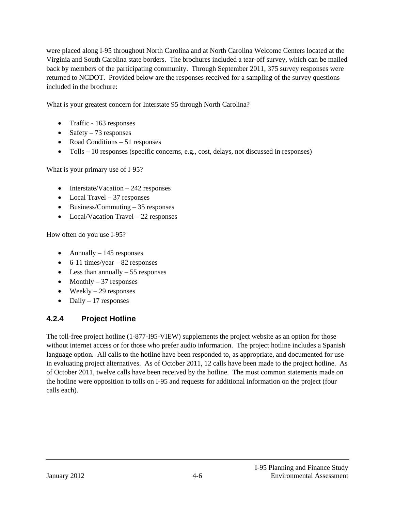were placed along I-95 throughout North Carolina and at North Carolina Welcome Centers located at the Virginia and South Carolina state borders. The brochures included a tear-off survey, which can be mailed back by members of the participating community. Through September 2011, 375 survey responses were returned to NCDOT. Provided below are the responses received for a sampling of the survey questions included in the brochure:

What is your greatest concern for Interstate 95 through North Carolina?

- Traffic 163 responses
- Safety  $-73$  responses
- Road Conditions  $-51$  responses
- $\bullet$  Tolls 10 responses (specific concerns, e.g., cost, delays, not discussed in responses)

What is your primary use of I-95?

- $\bullet$  Interstate/Vacation  $-242$  responses
- Local Travel 37 responses
- $\bullet$  Business/Commuting 35 responses
- Local/Vacation Travel 22 responses

How often do you use I-95?

- Annually  $-145$  responses
- $\bullet$  6-11 times/year 82 responses
- $\bullet$  Less than annually  $-55$  responses
- Monthly  $-37$  responses
- $\bullet$  Weekly 29 responses
- $\bullet$  Daily 17 responses

#### **4.2.4 Project Hotline**

The toll-free project hotline (1-877-I95-VIEW) supplements the project website as an option for those without internet access or for those who prefer audio information. The project hotline includes a Spanish language option. All calls to the hotline have been responded to, as appropriate, and documented for use in evaluating project alternatives. As of October 2011, 12 calls have been made to the project hotline. As of October 2011, twelve calls have been received by the hotline. The most common statements made on the hotline were opposition to tolls on I-95 and requests for additional information on the project (four calls each).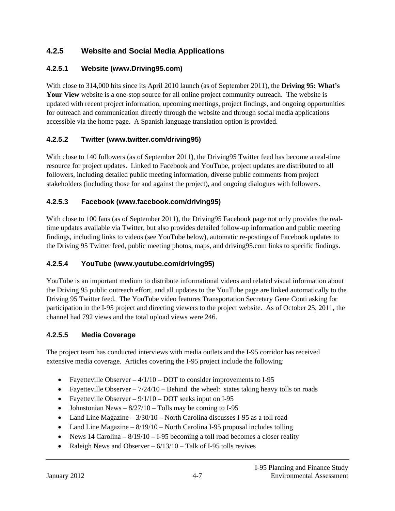## **4.2.5 Website and Social Media Applications**

#### **4.2.5.1 Website (www.Driving95.com)**

With close to 314,000 hits since its April 2010 launch (as of September 2011), the **Driving 95: What's Your View** website is a one-stop source for all online project community outreach. The website is updated with recent project information, upcoming meetings, project findings, and ongoing opportunities for outreach and communication directly through the website and through social media applications accessible via the home page. A Spanish language translation option is provided.

## **4.2.5.2 Twitter (www.twitter.com/driving95)**

With close to 140 followers (as of September 2011), the Driving95 Twitter feed has become a real-time resource for project updates. Linked to Facebook and YouTube, project updates are distributed to all followers, including detailed public meeting information, diverse public comments from project stakeholders (including those for and against the project), and ongoing dialogues with followers.

## **4.2.5.3 Facebook (www.facebook.com/driving95)**

With close to 100 fans (as of September 2011), the Driving 95 Facebook page not only provides the realtime updates available via Twitter, but also provides detailed follow-up information and public meeting findings, including links to videos (see YouTube below), automatic re-postings of Facebook updates to the Driving 95 Twitter feed, public meeting photos, maps, and driving95.com links to specific findings.

#### **4.2.5.4 YouTube (www.youtube.com/driving95)**

YouTube is an important medium to distribute informational videos and related visual information about the Driving 95 public outreach effort, and all updates to the YouTube page are linked automatically to the Driving 95 Twitter feed. The YouTube video features Transportation Secretary Gene Conti asking for participation in the I-95 project and directing viewers to the project website. As of October 25, 2011, the channel had 792 views and the total upload views were 246.

## **4.2.5.5 Media Coverage**

The project team has conducted interviews with media outlets and the I-95 corridor has received extensive media coverage. Articles covering the I-95 project include the following:

- Fayetteville Observer  $-4/1/10 -$ DOT to consider improvements to I-95
- Fayetteville Observer  $-7/24/10$  Behind the wheel: states taking heavy tolls on roads
- Fayetteville Observer  $-9/1/10 -$ DOT seeks input on I-95
- Johnstonian News  $-8/27/10$  Tolls may be coming to I-95
- Land Line Magazine  $-3/30/10$  North Carolina discusses I-95 as a toll road
- Land Line Magazine  $-8/19/10$  North Carolina I-95 proposal includes tolling
- News  $14$  Carolina  $8/19/10$  I-95 becoming a toll road becomes a closer reality
- Raleigh News and Observer  $-6/13/10 \text{Talk of I-95}$  tolls revives